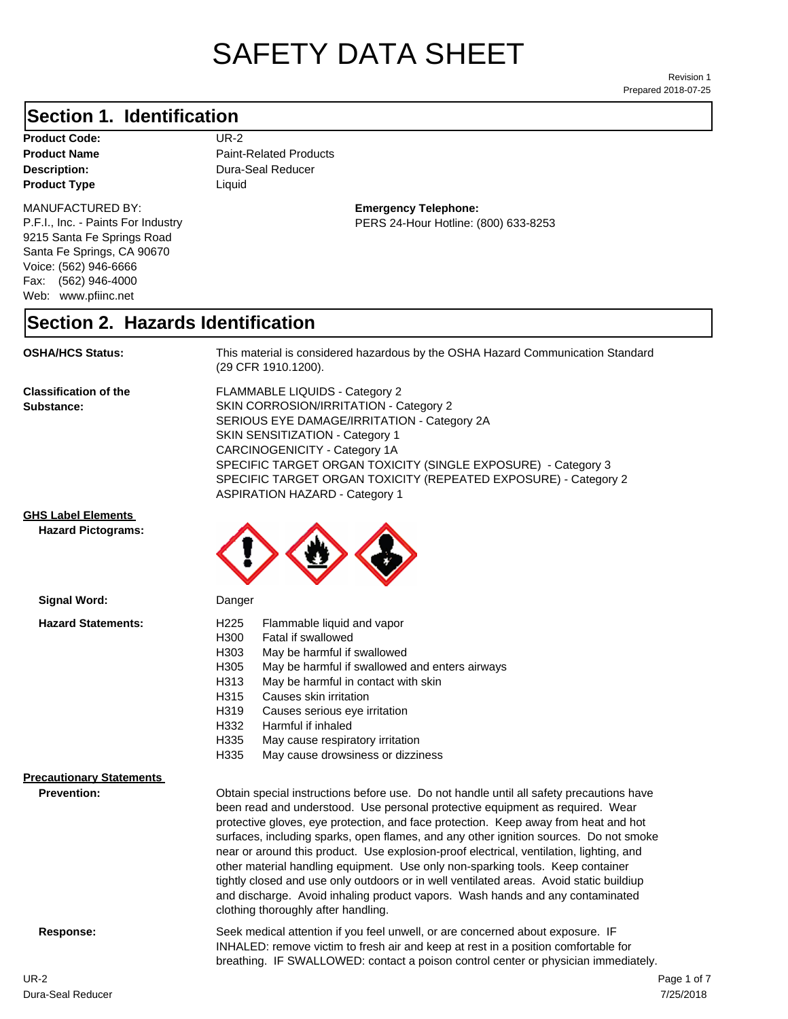# SAFETY DATA SHEET

Prepared 2018-07-25 Revision 1

#### **Section 1. Identification**

**Product Code:** UR-2 **Product Type Liquid Liquid** 

#### MANUFACTURED BY:

P.F.I., Inc. - Paints For Industry 9215 Santa Fe Springs Road Santa Fe Springs, CA 90670 Voice: (562) 946-6666 Fax: (562) 946-4000 Web: www.pfiinc.net

**Description:** Dura-Seal Reducer **Product Name** Paint-Related Products

> **Emergency Telephone:** PERS 24-Hour Hotline: (800) 633-8253

#### **Section 2. Hazards Identification**

**OSHA/HCS Status:** This material is considered hazardous by the OSHA Hazard Communication Standard (29 CFR 1910.1200).

**Classification of the Substance:**

FLAMMABLE LIQUIDS - Category 2 SKIN CORROSION/IRRITATION - Category 2 SERIOUS EYE DAMAGE/IRRITATION - Category 2A SKIN SENSITIZATION - Category 1 CARCINOGENICITY - Category 1A SPECIFIC TARGET ORGAN TOXICITY (SINGLE EXPOSURE) - Category 3 SPECIFIC TARGET ORGAN TOXICITY (REPEATED EXPOSURE) - Category 2 ASPIRATION HAZARD - Category 1

#### **GHS Label Elements**

**Signal Word:**

**Hazard Pictograms:**



| <b>Hazard Statements:</b>       | H <sub>225</sub><br>Flammable liquid and vapor<br>H300<br>Fatal if swallowed<br>H303<br>May be harmful if swallowed<br>H305<br>May be harmful if swallowed and enters airways<br>H313<br>May be harmful in contact with skin<br>Causes skin irritation<br>H315<br>H319<br>Causes serious eye irritation<br>H332<br>Harmful if inhaled<br>H335<br>May cause respiratory irritation<br>H335<br>May cause drowsiness or dizziness                                                                                                                                                                                                                                                                                                                           |
|---------------------------------|----------------------------------------------------------------------------------------------------------------------------------------------------------------------------------------------------------------------------------------------------------------------------------------------------------------------------------------------------------------------------------------------------------------------------------------------------------------------------------------------------------------------------------------------------------------------------------------------------------------------------------------------------------------------------------------------------------------------------------------------------------|
| <b>Precautionary Statements</b> |                                                                                                                                                                                                                                                                                                                                                                                                                                                                                                                                                                                                                                                                                                                                                          |
| <b>Prevention:</b>              | Obtain special instructions before use. Do not handle until all safety precautions have<br>been read and understood. Use personal protective equipment as required. Wear<br>protective gloves, eye protection, and face protection. Keep away from heat and hot<br>surfaces, including sparks, open flames, and any other ignition sources. Do not smoke<br>near or around this product. Use explosion-proof electrical, ventilation, lighting, and<br>other material handling equipment. Use only non-sparking tools. Keep container<br>tightly closed and use only outdoors or in well ventilated areas. Avoid static buildiup<br>and discharge. Avoid inhaling product vapors. Wash hands and any contaminated<br>clothing thoroughly after handling. |
| Response:                       | Seek medical attention if you feel unwell, or are concerned about exposure. IF<br>INHALED: remove victim to fresh air and keep at rest in a position comfortable for<br>breathing. IF SWALLOWED: contact a poison control center or physician immediately.                                                                                                                                                                                                                                                                                                                                                                                                                                                                                               |
| UR-2                            | Page 1 of                                                                                                                                                                                                                                                                                                                                                                                                                                                                                                                                                                                                                                                                                                                                                |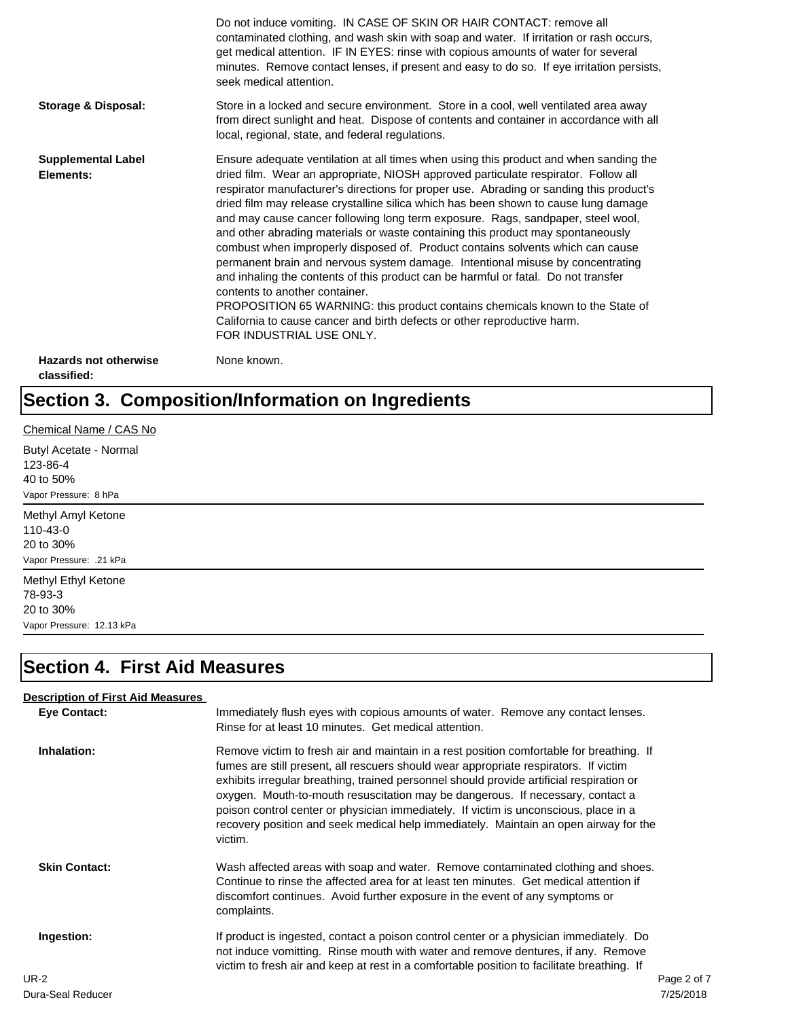|                                             | Do not induce vomiting. IN CASE OF SKIN OR HAIR CONTACT: remove all<br>contaminated clothing, and wash skin with soap and water. If irritation or rash occurs,<br>get medical attention. IF IN EYES: rinse with copious amounts of water for several<br>minutes. Remove contact lenses, if present and easy to do so. If eye irritation persists,<br>seek medical attention.                                                                                                                                                                                                                                                                                                                                                                                                                                                                                                                                                                                                                                             |
|---------------------------------------------|--------------------------------------------------------------------------------------------------------------------------------------------------------------------------------------------------------------------------------------------------------------------------------------------------------------------------------------------------------------------------------------------------------------------------------------------------------------------------------------------------------------------------------------------------------------------------------------------------------------------------------------------------------------------------------------------------------------------------------------------------------------------------------------------------------------------------------------------------------------------------------------------------------------------------------------------------------------------------------------------------------------------------|
| <b>Storage &amp; Disposal:</b>              | Store in a locked and secure environment. Store in a cool, well ventilated area away<br>from direct sunlight and heat. Dispose of contents and container in accordance with all<br>local, regional, state, and federal regulations.                                                                                                                                                                                                                                                                                                                                                                                                                                                                                                                                                                                                                                                                                                                                                                                      |
| <b>Supplemental Label</b><br>Elements:      | Ensure adequate ventilation at all times when using this product and when sanding the<br>dried film. Wear an appropriate, NIOSH approved particulate respirator. Follow all<br>respirator manufacturer's directions for proper use. Abrading or sanding this product's<br>dried film may release crystalline silica which has been shown to cause lung damage<br>and may cause cancer following long term exposure. Rags, sandpaper, steel wool,<br>and other abrading materials or waste containing this product may spontaneously<br>combust when improperly disposed of. Product contains solvents which can cause<br>permanent brain and nervous system damage. Intentional misuse by concentrating<br>and inhaling the contents of this product can be harmful or fatal. Do not transfer<br>contents to another container.<br>PROPOSITION 65 WARNING: this product contains chemicals known to the State of<br>California to cause cancer and birth defects or other reproductive harm.<br>FOR INDUSTRIAL USE ONLY. |
| <b>Hazards not otherwise</b><br>classified: | None known.                                                                                                                                                                                                                                                                                                                                                                                                                                                                                                                                                                                                                                                                                                                                                                                                                                                                                                                                                                                                              |

### **Section 3. Composition/Information on Ingredients**

#### Chemical Name / CAS No

Butyl Acetate - Normal 123-86-4 40 to 50% Vapor Pressure: 8 hPa

Methyl Amyl Ketone 110-43-0 20 to 30% Vapor Pressure: .21 kPa

Methyl Ethyl Ketone 78-93-3 20 to 30% Vapor Pressure: 12.13 kPa

### **Section 4. First Aid Measures**

#### **Description of First Aid Measures**

| <b>Eye Contact:</b>  | Immediately flush eyes with copious amounts of water. Remove any contact lenses.<br>Rinse for at least 10 minutes. Get medical attention.                                                                                                                                                                                                                                                                                                                                                                                                                 |
|----------------------|-----------------------------------------------------------------------------------------------------------------------------------------------------------------------------------------------------------------------------------------------------------------------------------------------------------------------------------------------------------------------------------------------------------------------------------------------------------------------------------------------------------------------------------------------------------|
| Inhalation:          | Remove victim to fresh air and maintain in a rest position comfortable for breathing. If<br>fumes are still present, all rescuers should wear appropriate respirators. If victim<br>exhibits irregular breathing, trained personnel should provide artificial respiration or<br>oxygen. Mouth-to-mouth resuscitation may be dangerous. If necessary, contact a<br>poison control center or physician immediately. If victim is unconscious, place in a<br>recovery position and seek medical help immediately. Maintain an open airway for the<br>victim. |
| <b>Skin Contact:</b> | Wash affected areas with soap and water. Remove contaminated clothing and shoes.<br>Continue to rinse the affected area for at least ten minutes. Get medical attention if<br>discomfort continues. Avoid further exposure in the event of any symptoms or<br>complaints.                                                                                                                                                                                                                                                                                 |
| Ingestion:           | If product is ingested, contact a poison control center or a physician immediately. Do<br>not induce vomitting. Rinse mouth with water and remove dentures, if any. Remove<br>victim to fresh air and keep at rest in a comfortable position to facilitate breathing. If                                                                                                                                                                                                                                                                                  |
| UR-2                 | Page 2 of 7                                                                                                                                                                                                                                                                                                                                                                                                                                                                                                                                               |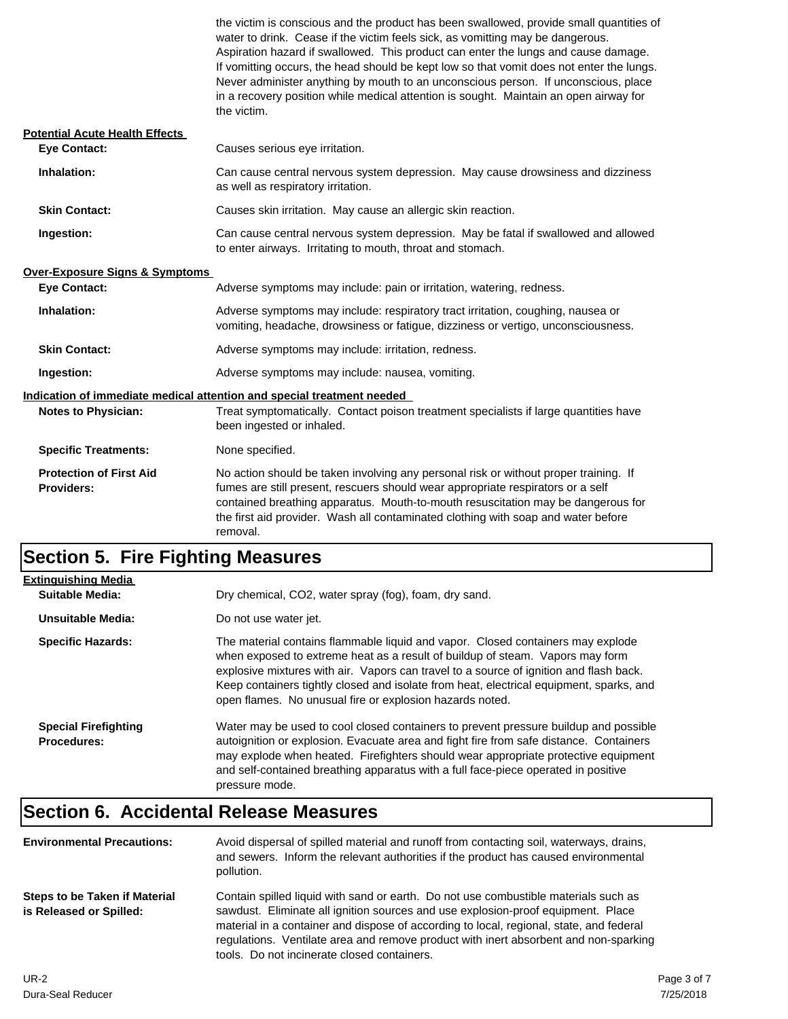|                                                                        | the victim is conscious and the product has been swallowed, provide small quantities of<br>water to drink. Cease if the victim feels sick, as vomitting may be dangerous.<br>Aspiration hazard if swallowed. This product can enter the lungs and cause damage.<br>If vomitting occurs, the head should be kept low so that vomit does not enter the lungs.<br>Never administer anything by mouth to an unconscious person. If unconscious, place<br>in a recovery position while medical attention is sought. Maintain an open airway for<br>the victim. |  |
|------------------------------------------------------------------------|-----------------------------------------------------------------------------------------------------------------------------------------------------------------------------------------------------------------------------------------------------------------------------------------------------------------------------------------------------------------------------------------------------------------------------------------------------------------------------------------------------------------------------------------------------------|--|
| <b>Potential Acute Health Effects</b>                                  |                                                                                                                                                                                                                                                                                                                                                                                                                                                                                                                                                           |  |
| <b>Eye Contact:</b>                                                    | Causes serious eye irritation.                                                                                                                                                                                                                                                                                                                                                                                                                                                                                                                            |  |
| Inhalation:                                                            | Can cause central nervous system depression. May cause drowsiness and dizziness<br>as well as respiratory irritation.                                                                                                                                                                                                                                                                                                                                                                                                                                     |  |
| <b>Skin Contact:</b>                                                   | Causes skin irritation. May cause an allergic skin reaction.                                                                                                                                                                                                                                                                                                                                                                                                                                                                                              |  |
| Ingestion:                                                             | Can cause central nervous system depression. May be fatal if swallowed and allowed<br>to enter airways. Irritating to mouth, throat and stomach.                                                                                                                                                                                                                                                                                                                                                                                                          |  |
| <b>Over-Exposure Signs &amp; Symptoms</b>                              |                                                                                                                                                                                                                                                                                                                                                                                                                                                                                                                                                           |  |
| <b>Eye Contact:</b>                                                    | Adverse symptoms may include: pain or irritation, watering, redness.                                                                                                                                                                                                                                                                                                                                                                                                                                                                                      |  |
| Inhalation:                                                            | Adverse symptoms may include: respiratory tract irritation, coughing, nausea or<br>vomiting, headache, drowsiness or fatigue, dizziness or vertigo, unconsciousness.                                                                                                                                                                                                                                                                                                                                                                                      |  |
| <b>Skin Contact:</b>                                                   | Adverse symptoms may include: irritation, redness.                                                                                                                                                                                                                                                                                                                                                                                                                                                                                                        |  |
| Ingestion:                                                             | Adverse symptoms may include: nausea, vomiting.                                                                                                                                                                                                                                                                                                                                                                                                                                                                                                           |  |
| Indication of immediate medical attention and special treatment needed |                                                                                                                                                                                                                                                                                                                                                                                                                                                                                                                                                           |  |
| <b>Notes to Physician:</b>                                             | Treat symptomatically. Contact poison treatment specialists if large quantities have<br>been ingested or inhaled.                                                                                                                                                                                                                                                                                                                                                                                                                                         |  |
| <b>Specific Treatments:</b>                                            | None specified.                                                                                                                                                                                                                                                                                                                                                                                                                                                                                                                                           |  |
| <b>Protection of First Aid</b><br>Providers:                           | No action should be taken involving any personal risk or without proper training. If<br>fumes are still present, rescuers should wear appropriate respirators or a self<br>contained breathing apparatus. Mouth-to-mouth resuscitation may be dangerous for<br>the first aid provider. Wash all contaminated clothing with soap and water before<br>removal.                                                                                                                                                                                              |  |

## **Section 5. Fire Fighting Measures**

| <b>Extinguishing Media</b>                        |                                                                                                                                                                                                                                                                                                                                                                                                                   |  |
|---------------------------------------------------|-------------------------------------------------------------------------------------------------------------------------------------------------------------------------------------------------------------------------------------------------------------------------------------------------------------------------------------------------------------------------------------------------------------------|--|
| Suitable Media:                                   | Dry chemical, CO2, water spray (fog), foam, dry sand.                                                                                                                                                                                                                                                                                                                                                             |  |
| Unsuitable Media:                                 | Do not use water jet.                                                                                                                                                                                                                                                                                                                                                                                             |  |
| <b>Specific Hazards:</b>                          | The material contains flammable liquid and vapor. Closed containers may explode<br>when exposed to extreme heat as a result of buildup of steam. Vapors may form<br>explosive mixtures with air. Vapors can travel to a source of ignition and flash back.<br>Keep containers tightly closed and isolate from heat, electrical equipment, sparks, and<br>open flames. No unusual fire or explosion hazards noted. |  |
| <b>Special Firefighting</b><br><b>Procedures:</b> | Water may be used to cool closed containers to prevent pressure buildup and possible<br>autoignition or explosion. Evacuate area and fight fire from safe distance. Containers<br>may explode when heated. Firefighters should wear appropriate protective equipment<br>and self-contained breathing apparatus with a full face-piece operated in positive<br>pressure mode.                                      |  |

### **Section 6. Accidental Release Measures**

| <b>Environmental Precautions:</b>                        | Avoid dispersal of spilled material and runoff from contacting soil, waterways, drains,<br>and sewers. Inform the relevant authorities if the product has caused environmental<br>pollution.                                                                                                                                                                                                              |
|----------------------------------------------------------|-----------------------------------------------------------------------------------------------------------------------------------------------------------------------------------------------------------------------------------------------------------------------------------------------------------------------------------------------------------------------------------------------------------|
| Steps to be Taken if Material<br>is Released or Spilled: | Contain spilled liquid with sand or earth. Do not use combustible materials such as<br>sawdust. Eliminate all ignition sources and use explosion-proof equipment. Place<br>material in a container and dispose of according to local, regional, state, and federal<br>regulations. Ventilate area and remove product with inert absorbent and non-sparking<br>tools. Do not incinerate closed containers. |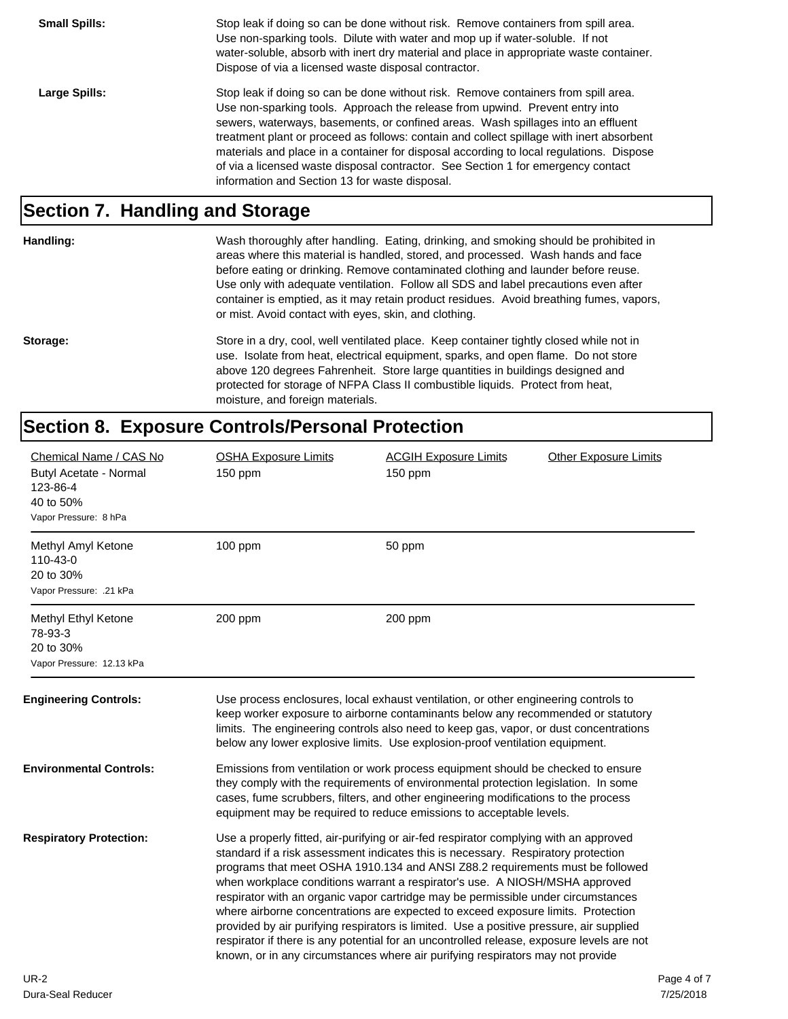| <b>Small Spills:</b> | Stop leak if doing so can be done without risk. Remove containers from spill area.<br>Use non-sparking tools. Dilute with water and mop up if water-soluble. If not<br>water-soluble, absorb with inert dry material and place in appropriate waste container.<br>Dispose of via a licensed waste disposal contractor.                                                                                                                                                                                                                                                              |
|----------------------|-------------------------------------------------------------------------------------------------------------------------------------------------------------------------------------------------------------------------------------------------------------------------------------------------------------------------------------------------------------------------------------------------------------------------------------------------------------------------------------------------------------------------------------------------------------------------------------|
| Large Spills:        | Stop leak if doing so can be done without risk. Remove containers from spill area.<br>Use non-sparking tools. Approach the release from upwind. Prevent entry into<br>sewers, waterways, basements, or confined areas. Wash spillages into an effluent<br>treatment plant or proceed as follows: contain and collect spillage with inert absorbent<br>materials and place in a container for disposal according to local regulations. Dispose<br>of via a licensed waste disposal contractor. See Section 1 for emergency contact<br>information and Section 13 for waste disposal. |

#### **Section 7. Handling and Storage**

Wash thoroughly after handling. Eating, drinking, and smoking should be prohibited in areas where this material is handled, stored, and processed. Wash hands and face before eating or drinking. Remove contaminated clothing and launder before reuse. Use only with adequate ventilation. Follow all SDS and label precautions even after container is emptied, as it may retain product residues. Avoid breathing fumes, vapors, or mist. Avoid contact with eyes, skin, and clothing.

Storage: Store in a dry, cool, well ventilated place. Keep container tightly closed while not in use. Isolate from heat, electrical equipment, sparks, and open flame. Do not store above 120 degrees Fahrenheit. Store large quantities in buildings designed and protected for storage of NFPA Class II combustible liquids. Protect from heat, moisture, and foreign materials.

#### **Section 8. Exposure Controls/Personal Protection**

| Chemical Name / CAS No<br>Butyl Acetate - Normal<br>123-86-4<br>40 to 50%<br>Vapor Pressure: 8 hPa | <b>OSHA Exposure Limits</b><br>150 ppm                                                                                                                                                                                                                                                                                                                                                                                                                                                                                                                                                                                                                                                                                                                                                        | <b>ACGIH Exposure Limits</b><br>$150$ ppm | <b>Other Exposure Limits</b> |             |
|----------------------------------------------------------------------------------------------------|-----------------------------------------------------------------------------------------------------------------------------------------------------------------------------------------------------------------------------------------------------------------------------------------------------------------------------------------------------------------------------------------------------------------------------------------------------------------------------------------------------------------------------------------------------------------------------------------------------------------------------------------------------------------------------------------------------------------------------------------------------------------------------------------------|-------------------------------------------|------------------------------|-------------|
| Methyl Amyl Ketone<br>110-43-0<br>20 to 30%<br>Vapor Pressure: .21 kPa                             | $100$ ppm                                                                                                                                                                                                                                                                                                                                                                                                                                                                                                                                                                                                                                                                                                                                                                                     | 50 ppm                                    |                              |             |
| Methyl Ethyl Ketone<br>78-93-3<br>20 to 30%<br>Vapor Pressure: 12.13 kPa                           | 200 ppm                                                                                                                                                                                                                                                                                                                                                                                                                                                                                                                                                                                                                                                                                                                                                                                       | 200 ppm                                   |                              |             |
| <b>Engineering Controls:</b>                                                                       | Use process enclosures, local exhaust ventilation, or other engineering controls to<br>keep worker exposure to airborne contaminants below any recommended or statutory<br>limits. The engineering controls also need to keep gas, vapor, or dust concentrations<br>below any lower explosive limits. Use explosion-proof ventilation equipment.                                                                                                                                                                                                                                                                                                                                                                                                                                              |                                           |                              |             |
| <b>Environmental Controls:</b>                                                                     | Emissions from ventilation or work process equipment should be checked to ensure<br>they comply with the requirements of environmental protection legislation. In some<br>cases, fume scrubbers, filters, and other engineering modifications to the process<br>equipment may be required to reduce emissions to acceptable levels.                                                                                                                                                                                                                                                                                                                                                                                                                                                           |                                           |                              |             |
| <b>Respiratory Protection:</b>                                                                     | Use a properly fitted, air-purifying or air-fed respirator complying with an approved<br>standard if a risk assessment indicates this is necessary. Respiratory protection<br>programs that meet OSHA 1910.134 and ANSI Z88.2 requirements must be followed<br>when workplace conditions warrant a respirator's use. A NIOSH/MSHA approved<br>respirator with an organic vapor cartridge may be permissible under circumstances<br>where airborne concentrations are expected to exceed exposure limits. Protection<br>provided by air purifying respirators is limited. Use a positive pressure, air supplied<br>respirator if there is any potential for an uncontrolled release, exposure levels are not<br>known, or in any circumstances where air purifying respirators may not provide |                                           |                              |             |
| <b>UR-2</b>                                                                                        |                                                                                                                                                                                                                                                                                                                                                                                                                                                                                                                                                                                                                                                                                                                                                                                               |                                           |                              | Page 4 of 7 |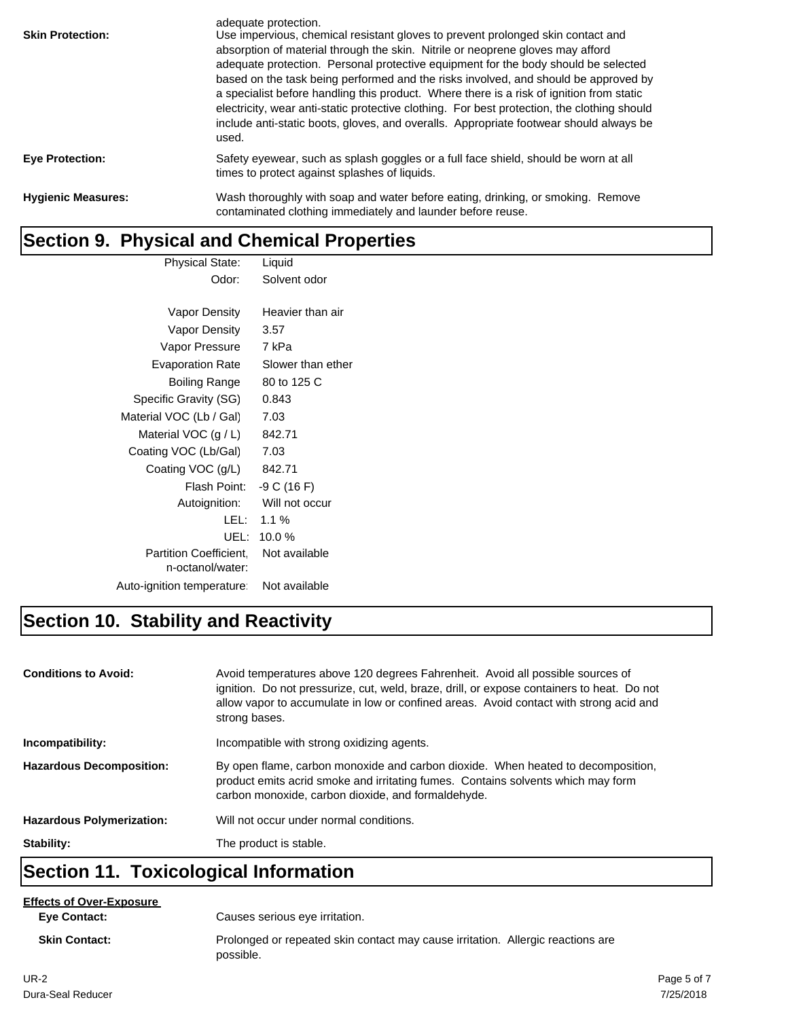| <b>Skin Protection:</b>   | adequate protection.<br>Use impervious, chemical resistant gloves to prevent prolonged skin contact and<br>absorption of material through the skin. Nitrile or neoprene gloves may afford<br>adequate protection. Personal protective equipment for the body should be selected<br>based on the task being performed and the risks involved, and should be approved by<br>a specialist before handling this product. Where there is a risk of ignition from static<br>electricity, wear anti-static protective clothing. For best protection, the clothing should<br>include anti-static boots, gloves, and overalls. Appropriate footwear should always be<br>used. |
|---------------------------|----------------------------------------------------------------------------------------------------------------------------------------------------------------------------------------------------------------------------------------------------------------------------------------------------------------------------------------------------------------------------------------------------------------------------------------------------------------------------------------------------------------------------------------------------------------------------------------------------------------------------------------------------------------------|
| <b>Eye Protection:</b>    | Safety eyewear, such as splash goggles or a full face shield, should be worn at all<br>times to protect against splashes of liquids.                                                                                                                                                                                                                                                                                                                                                                                                                                                                                                                                 |
| <b>Hygienic Measures:</b> | Wash thoroughly with soap and water before eating, drinking, or smoking. Remove<br>contaminated clothing immediately and launder before reuse.                                                                                                                                                                                                                                                                                                                                                                                                                                                                                                                       |

### **Section 9. Physical and Chemical Properties**

| <b>Physical State:</b>                            | Liquid            |
|---------------------------------------------------|-------------------|
| Odor:                                             | Solvent odor      |
|                                                   |                   |
| Vapor Density                                     | Heavier than air  |
| Vapor Density                                     | 3.57              |
| Vapor Pressure                                    | 7 kPa             |
| Evaporation Rate                                  | Slower than ether |
| Boiling Range                                     | 80 to 125 C       |
| Specific Gravity (SG)                             | 0.843             |
| Material VOC (Lb / Gal)                           | 7.03              |
| Material VOC $(g/L)$                              | 842.71            |
| Coating VOC (Lb/Gal)                              | 7.03              |
| Coating VOC (g/L)                                 | 842.71            |
| Flash Point:                                      | $-9 C (16 F)$     |
| Autoignition:                                     | Will not occur    |
| LEL:                                              | $1.1 \%$          |
| UEL:                                              | 10.0%             |
| <b>Partition Coefficient.</b><br>n-octanol/water: | Not available     |
| Auto-ignition temperature                         | Not available     |
|                                                   |                   |

### **Section 10. Stability and Reactivity**

| <b>Conditions to Avoid:</b>      | Avoid temperatures above 120 degrees Fahrenheit. Avoid all possible sources of<br>ignition. Do not pressurize, cut, weld, braze, drill, or expose containers to heat. Do not<br>allow vapor to accumulate in low or confined areas. Avoid contact with strong acid and<br>strong bases. |
|----------------------------------|-----------------------------------------------------------------------------------------------------------------------------------------------------------------------------------------------------------------------------------------------------------------------------------------|
| Incompatibility:                 | Incompatible with strong oxidizing agents.                                                                                                                                                                                                                                              |
| <b>Hazardous Decomposition:</b>  | By open flame, carbon monoxide and carbon dioxide. When heated to decomposition,<br>product emits acrid smoke and irritating fumes. Contains solvents which may form<br>carbon monoxide, carbon dioxide, and formaldehyde.                                                              |
| <b>Hazardous Polymerization:</b> | Will not occur under normal conditions.                                                                                                                                                                                                                                                 |
| Stability:                       | The product is stable.                                                                                                                                                                                                                                                                  |

### **Section 11. Toxicological Information**

#### **Effects of Over-Exposure**

**Eye Contact:**

Causes serious eye irritation.

**Skin Contact:** Prolonged or repeated skin contact may cause irritation. Allergic reactions are possible.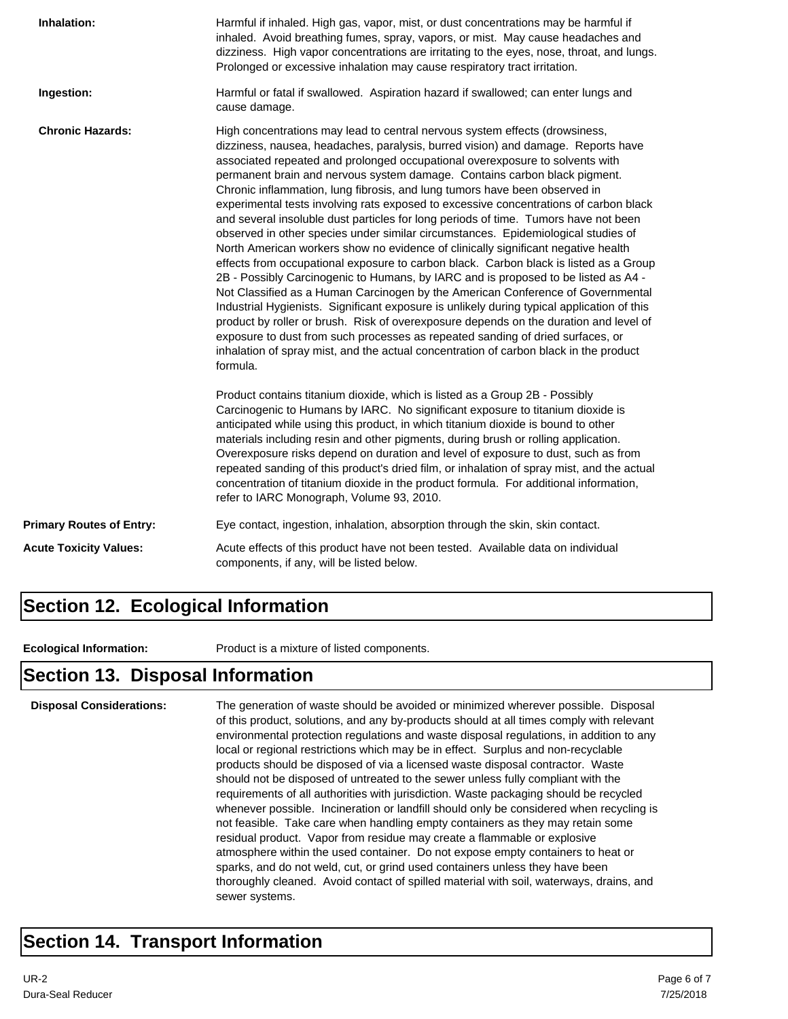| Inhalation:                     | Harmful if inhaled. High gas, vapor, mist, or dust concentrations may be harmful if<br>inhaled. Avoid breathing fumes, spray, vapors, or mist. May cause headaches and<br>dizziness. High vapor concentrations are irritating to the eyes, nose, throat, and lungs.<br>Prolonged or excessive inhalation may cause respiratory tract irritation.                                                                                                                                                                                                                                                                                                                                                                                                                                                                                                                                                                                                                                                                                                                                                                                                                                                                                                                                                                                                                                                                     |  |  |  |
|---------------------------------|----------------------------------------------------------------------------------------------------------------------------------------------------------------------------------------------------------------------------------------------------------------------------------------------------------------------------------------------------------------------------------------------------------------------------------------------------------------------------------------------------------------------------------------------------------------------------------------------------------------------------------------------------------------------------------------------------------------------------------------------------------------------------------------------------------------------------------------------------------------------------------------------------------------------------------------------------------------------------------------------------------------------------------------------------------------------------------------------------------------------------------------------------------------------------------------------------------------------------------------------------------------------------------------------------------------------------------------------------------------------------------------------------------------------|--|--|--|
| Ingestion:                      | Harmful or fatal if swallowed. Aspiration hazard if swallowed; can enter lungs and<br>cause damage.                                                                                                                                                                                                                                                                                                                                                                                                                                                                                                                                                                                                                                                                                                                                                                                                                                                                                                                                                                                                                                                                                                                                                                                                                                                                                                                  |  |  |  |
| <b>Chronic Hazards:</b>         | High concentrations may lead to central nervous system effects (drowsiness,<br>dizziness, nausea, headaches, paralysis, burred vision) and damage. Reports have<br>associated repeated and prolonged occupational overexposure to solvents with<br>permanent brain and nervous system damage. Contains carbon black pigment.<br>Chronic inflammation, lung fibrosis, and lung tumors have been observed in<br>experimental tests involving rats exposed to excessive concentrations of carbon black<br>and several insoluble dust particles for long periods of time. Tumors have not been<br>observed in other species under similar circumstances. Epidemiological studies of<br>North American workers show no evidence of clinically significant negative health<br>effects from occupational exposure to carbon black. Carbon black is listed as a Group<br>2B - Possibly Carcinogenic to Humans, by IARC and is proposed to be listed as A4 -<br>Not Classified as a Human Carcinogen by the American Conference of Governmental<br>Industrial Hygienists. Significant exposure is unlikely during typical application of this<br>product by roller or brush. Risk of overexposure depends on the duration and level of<br>exposure to dust from such processes as repeated sanding of dried surfaces, or<br>inhalation of spray mist, and the actual concentration of carbon black in the product<br>formula. |  |  |  |
|                                 | Product contains titanium dioxide, which is listed as a Group 2B - Possibly<br>Carcinogenic to Humans by IARC. No significant exposure to titanium dioxide is<br>anticipated while using this product, in which titanium dioxide is bound to other<br>materials including resin and other pigments, during brush or rolling application.<br>Overexposure risks depend on duration and level of exposure to dust, such as from<br>repeated sanding of this product's dried film, or inhalation of spray mist, and the actual<br>concentration of titanium dioxide in the product formula. For additional information,<br>refer to IARC Monograph, Volume 93, 2010.                                                                                                                                                                                                                                                                                                                                                                                                                                                                                                                                                                                                                                                                                                                                                    |  |  |  |
| <b>Primary Routes of Entry:</b> | Eye contact, ingestion, inhalation, absorption through the skin, skin contact.                                                                                                                                                                                                                                                                                                                                                                                                                                                                                                                                                                                                                                                                                                                                                                                                                                                                                                                                                                                                                                                                                                                                                                                                                                                                                                                                       |  |  |  |
| <b>Acute Toxicity Values:</b>   | Acute effects of this product have not been tested. Available data on individual<br>components, if any, will be listed below.                                                                                                                                                                                                                                                                                                                                                                                                                                                                                                                                                                                                                                                                                                                                                                                                                                                                                                                                                                                                                                                                                                                                                                                                                                                                                        |  |  |  |

#### **Section 12. Ecological Information**

**Ecological Information:** Product is a mixture of listed components.

#### **Section 13. Disposal Information**

**Disposal Considerations:** The generation of waste should be avoided or minimized wherever possible. Disposal of this product, solutions, and any by-products should at all times comply with relevant environmental protection regulations and waste disposal regulations, in addition to any local or regional restrictions which may be in effect. Surplus and non-recyclable products should be disposed of via a licensed waste disposal contractor. Waste should not be disposed of untreated to the sewer unless fully compliant with the requirements of all authorities with jurisdiction. Waste packaging should be recycled whenever possible. Incineration or landfill should only be considered when recycling is not feasible. Take care when handling empty containers as they may retain some residual product. Vapor from residue may create a flammable or explosive atmosphere within the used container. Do not expose empty containers to heat or sparks, and do not weld, cut, or grind used containers unless they have been thoroughly cleaned. Avoid contact of spilled material with soil, waterways, drains, and sewer systems.

#### **Section 14. Transport Information**